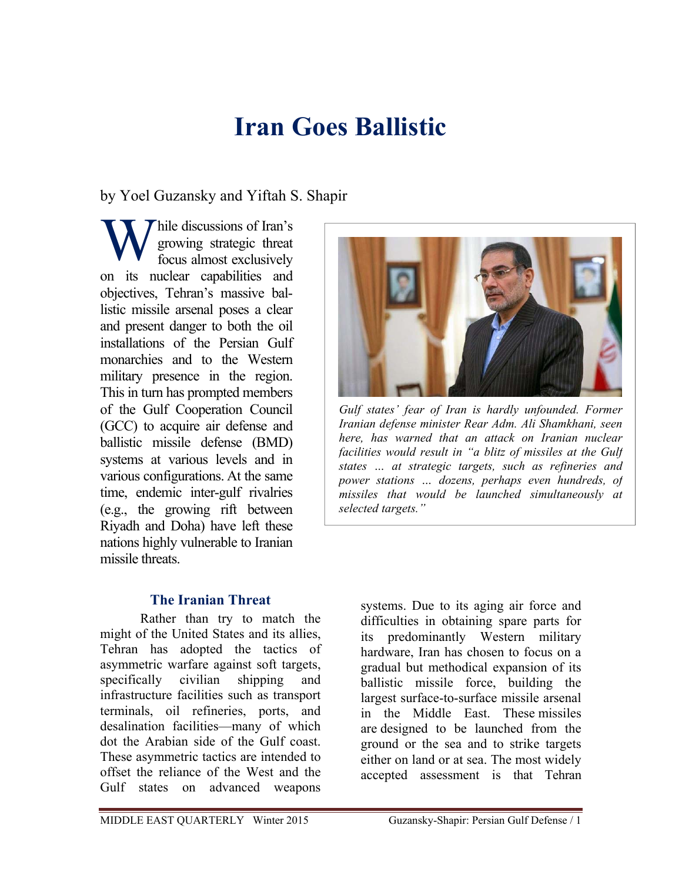# **Iran Goes Ballistic**

by Yoel Guzansky and Yiftah S. Shapir

hile discussions of Iran's growing strategic threat focus almost exclusively on its nuclear capabilities and objectives, Tehran's massive ballistic missile arsenal poses a clear and present danger to both the oil installations of the Persian Gulf monarchies and to the Western military presence in the region. This in turn has prompted members of the Gulf Cooperation Council (GCC) to acquire air defense and ballistic missile defense (BMD) systems at various levels and in various configurations. At the same time, endemic inter-gulf rivalries (e.g., the growing rift between Riyadh and Doha) have left these nations highly vulnerable to Iranian missile threats. W arc

## **The Iranian Threat**

Rather than try to match the might of the United States and its allies, Tehran has adopted the tactics of asymmetric warfare against soft targets, specifically civilian shipping and infrastructure facilities such as transport terminals, oil refineries, ports, and desalination facilities—many of which dot the Arabian side of the Gulf coast. These asymmetric tactics are intended to offset the reliance of the West and the Gulf states on advanced weapons



*Gulf states' fear of Iran is hardly unfounded. Former Iranian defense minister Rear Adm. Ali Shamkhani, seen here, has warned that an attack on Iranian nuclear facilities would result in "a blitz of missiles at the Gulf states … at strategic targets, such as refineries and power stations … dozens, perhaps even hundreds, of missiles that would be launched simultaneously at selected targets."*

systems. Due to its aging air force and difficulties in obtaining spare parts for its predominantly Western military hardware, Iran has chosen to focus on a gradual but methodical expansion of its ballistic missile force, building the largest surface-to-surface missile arsenal in the Middle East. These missiles are designed to be launched from the ground or the sea and to strike targets either on land or at sea. The most widely accepted assessment is that Tehran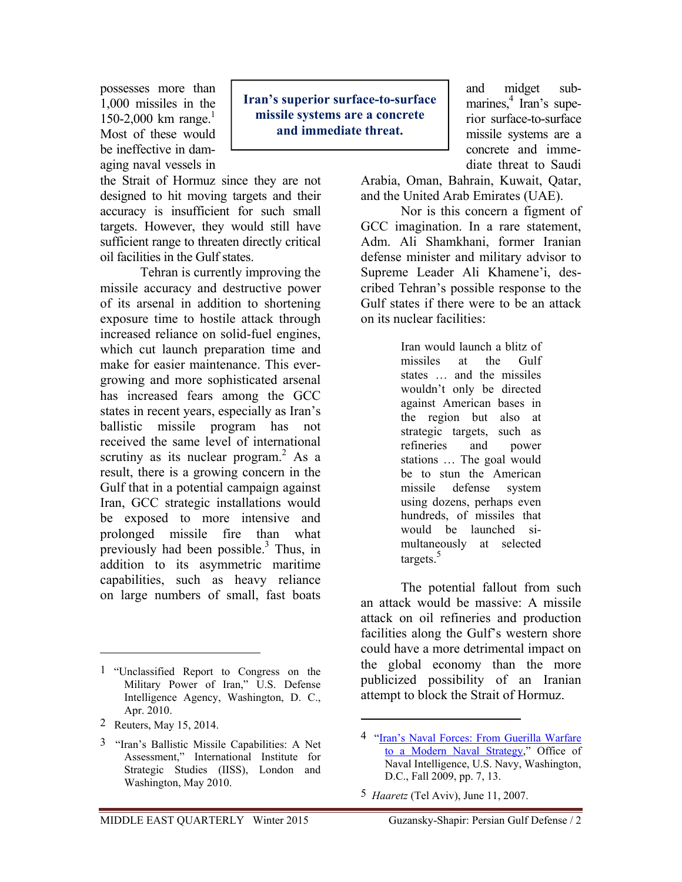possesses more than 1,000 missiles in the 150-2,000 km range.<sup>1</sup> Most of these would be ineffective in damaging naval vessels in

the Strait of Hormuz since they are not designed to hit moving targets and their accuracy is insufficient for such small targets. However, they would still have sufficient range to threaten directly critical oil facilities in the Gulf states.

Tehran is currently improving the missile accuracy and destructive power of its arsenal in addition to shortening exposure time to hostile attack through increased reliance on solid-fuel engines, which cut launch preparation time and make for easier maintenance. This evergrowing and more sophisticated arsenal has increased fears among the GCC states in recent years, especially as Iran's ballistic missile program has not received the same level of international scrutiny as its nuclear program. $^{2}$  As a result, there is a growing concern in the Gulf that in a potential campaign against Iran, GCC strategic installations would be exposed to more intensive and prolonged missile fire than what previously had been possible. $3$  Thus, in addition to its asymmetric maritime capabilities, such as heavy reliance on large numbers of small, fast boats

1 "Unclassified Report to Congress on the Military Power of Iran," U.S. Defense Intelligence Agency, Washington, D. C., Apr. 2010.

2 Reuters, May 15, 2014.

 $\overline{a}$ 

3 "Iran's Ballistic Missile Capabilities: A Net Assessment," International Institute for Strategic Studies (IISS), London and Washington, May 2010.

**Iran's superior surface-to-surface missile systems are a concrete and immediate threat.** 

and midget submarines,<sup>4</sup> Iran's superior surface-to-surface missile systems are a concrete and immediate threat to Saudi

Arabia, Oman, Bahrain, Kuwait, Qatar, and the United Arab Emirates (UAE).

Nor is this concern a figment of GCC imagination. In a rare statement, Adm. Ali Shamkhani, former Iranian defense minister and military advisor to Supreme Leader Ali Khamene'i, described Tehran's possible response to the Gulf states if there were to be an attack on its nuclear facilities:

> Iran would launch a blitz of missiles at the Gulf states … and the missiles wouldn't only be directed against American bases in the region but also at strategic targets, such as refineries and power stations … The goal would be to stun the American missile defense system using dozens, perhaps even hundreds, of missiles that would be launched simultaneously at selected targets. $5$

The potential fallout from such an attack would be massive: A missile attack on oil refineries and production facilities along the Gulf's western shore could have a more detrimental impact on the global economy than the more publicized possibility of an Iranian attempt to block the Strait of Hormuz.

<sup>4</sup>"Iran's Naval Forces: From Guerilla Warfare to a Modern Naval Strategy," Office of Naval Intelligence, U.S. Navy, Washington, D.C., Fall 2009, pp. 7, 13.

<sup>5</sup> *Haaretz* (Tel Aviv), June 11, 2007.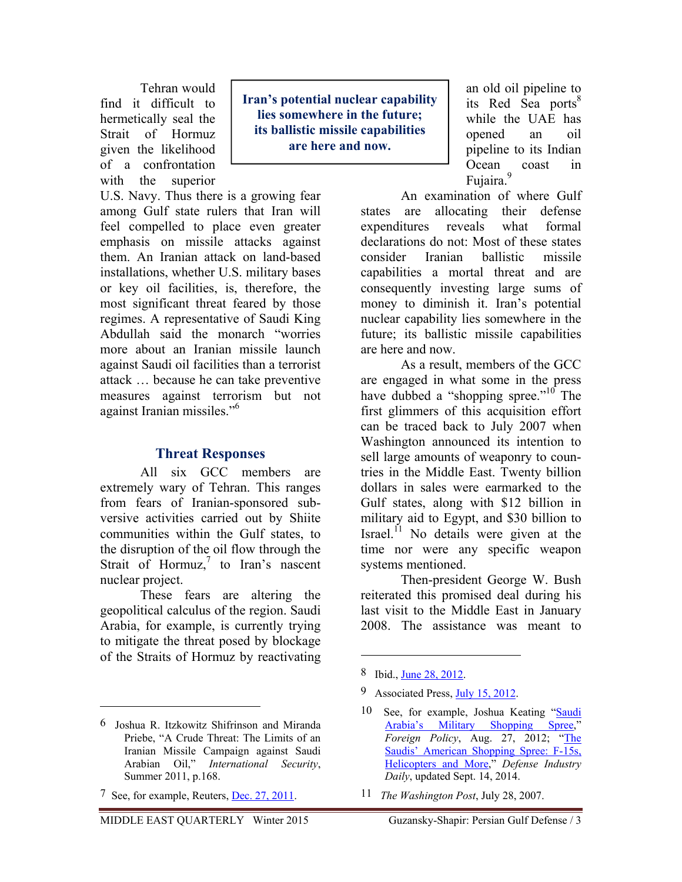Tehran would find it difficult to hermetically seal the Strait of Hormuz given the likelihood of a confrontation with the superior

U.S. Navy. Thus there is a growing fear among Gulf state rulers that Iran will feel compelled to place even greater emphasis on missile attacks against them. An Iranian attack on land-based installations, whether U.S. military bases or key oil facilities, is, therefore, the most significant threat feared by those regimes. A representative of Saudi King Abdullah said the monarch "worries more about an Iranian missile launch against Saudi oil facilities than a terrorist attack … because he can take preventive measures against terrorism but not against Iranian missiles."6

## **Threat Responses**

All six GCC members are extremely wary of Tehran. This ranges from fears of Iranian-sponsored subversive activities carried out by Shiite communities within the Gulf states, to the disruption of the oil flow through the Strait of Hormuz, $\frac{7}{1}$  to Iran's nascent nuclear project.

These fears are altering the geopolitical calculus of the region. Saudi Arabia, for example, is currently trying to mitigate the threat posed by blockage of the Straits of Hormuz by reactivating

 $\overline{a}$ 

**Iran's potential nuclear capability lies somewhere in the future; its ballistic missile capabilities are here and now.** 

an old oil pipeline to its Red Sea ports<sup>8</sup> while the UAE has opened an oil pipeline to its Indian Ocean coast in Fujaira.<sup>9</sup>

An examination of where Gulf states are allocating their defense expenditures reveals what formal declarations do not: Most of these states consider Iranian ballistic missile capabilities a mortal threat and are consequently investing large sums of money to diminish it. Iran's potential nuclear capability lies somewhere in the future; its ballistic missile capabilities are here and now.

As a result, members of the GCC are engaged in what some in the press have dubbed a "shopping spree."<sup>10</sup> The first glimmers of this acquisition effort can be traced back to July 2007 when Washington announced its intention to sell large amounts of weaponry to countries in the Middle East. Twenty billion dollars in sales were earmarked to the Gulf states, along with \$12 billion in military aid to Egypt, and \$30 billion to Israel. $^{11}$  No details were given at the time nor were any specific weapon systems mentioned.

Then-president George W. Bush reiterated this promised deal during his last visit to the Middle East in January 2008. The assistance was meant to

 $\overline{a}$ 

11 *The Washington Post*, July 28, 2007.

<sup>6</sup> Joshua R. Itzkowitz Shifrinson and Miranda Priebe, "A Crude Threat: The Limits of an Iranian Missile Campaign against Saudi Arabian Oil," *International Security*, Summer 2011, p.168.

<sup>7</sup> See, for example, Reuters, Dec. 27, 2011.

<sup>8</sup> Ibid., <u>June 28, 2012</u>.

<sup>9</sup> Associated Press, July 15, 2012.

<sup>10</sup> See, for example, Joshua Keating "Saudi Arabia's Military Shopping Spree," *Foreign Policy*, Aug. 27, 2012; "The Saudis' American Shopping Spree: F-15s, Helicopters and More," *Defense Industry Daily*, updated Sept. 14, 2014.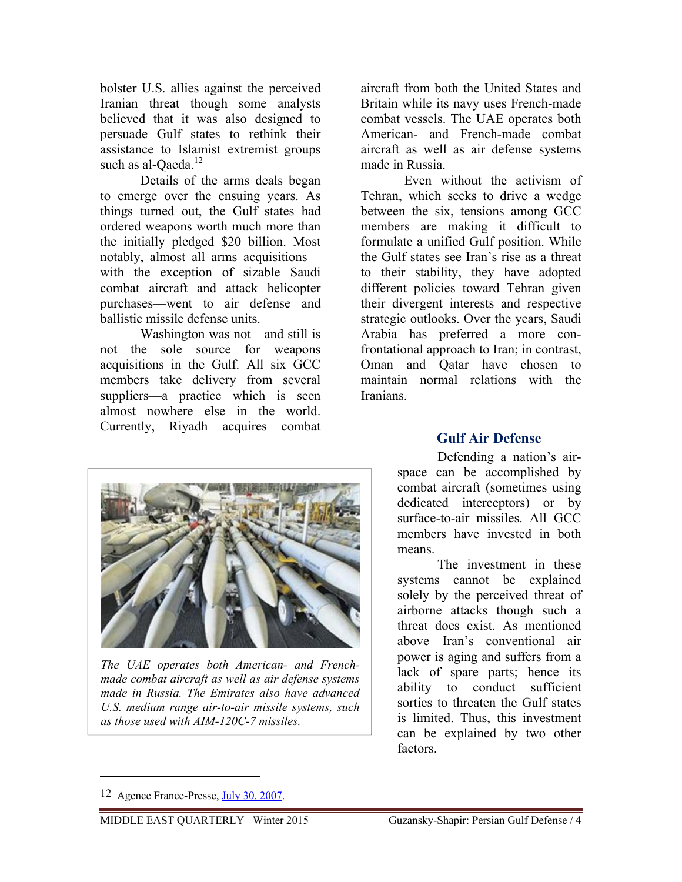bolster U.S. allies against the perceived Iranian threat though some analysts believed that it was also designed to persuade Gulf states to rethink their assistance to Islamist extremist groups such as al-Qaeda.<sup>12</sup>

Details of the arms deals began to emerge over the ensuing years. As things turned out, the Gulf states had ordered weapons worth much more than the initially pledged \$20 billion. Most notably, almost all arms acquisitions with the exception of sizable Saudi combat aircraft and attack helicopter purchases—went to air defense and ballistic missile defense units.

Washington was not—and still is not—the sole source for weapons acquisitions in the Gulf. All six GCC members take delivery from several suppliers—a practice which is seen almost nowhere else in the world. Currently, Riyadh acquires combat

aircraft from both the United States and Britain while its navy uses French-made combat vessels. The UAE operates both American- and French-made combat aircraft as well as air defense systems made in Russia.

 Even without the activism of Tehran, which seeks to drive a wedge between the six, tensions among GCC members are making it difficult to formulate a unified Gulf position. While the Gulf states see Iran's rise as a threat to their stability, they have adopted different policies toward Tehran given their divergent interests and respective strategic outlooks. Over the years, Saudi Arabia has preferred a more confrontational approach to Iran; in contrast, Oman and Qatar have chosen to maintain normal relations with the Iranians.



*The UAE operates both American- and Frenchmade combat aircraft as well as air defense systems made in Russia. The Emirates also have advanced U.S. medium range air-to-air missile systems, such as those used with AIM-120C-7 missiles.*

## **Gulf Air Defense**

Defending a nation's airspace can be accomplished by combat aircraft (sometimes using dedicated interceptors) or by surface-to-air missiles. All GCC members have invested in both means.

The investment in these systems cannot be explained solely by the perceived threat of airborne attacks though such a threat does exist. As mentioned above—Iran's conventional air power is aging and suffers from a lack of spare parts; hence its ability to conduct sufficient sorties to threaten the Gulf states is limited. Thus, this investment can be explained by two other factors.

<sup>12</sup> Agence France-Presse, July 30, 2007.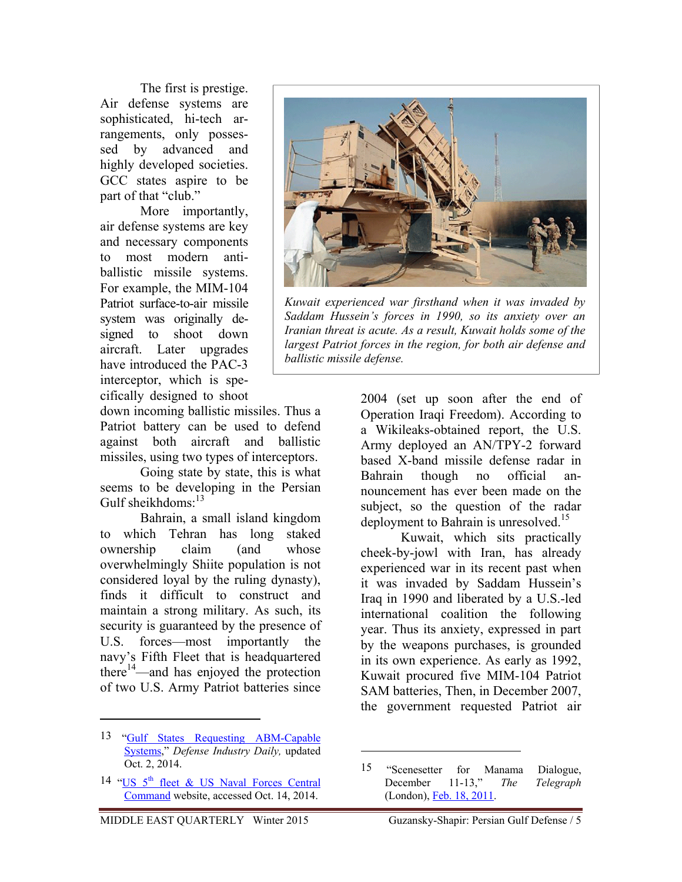The first is prestige. Air defense systems are sophisticated, hi-tech arrangements, only possessed by advanced and highly developed societies. GCC states aspire to be part of that "club."

More importantly, air defense systems are key and necessary components to most modern antiballistic missile systems. For example, the MIM-104 Patriot surface-to-air missile system was originally designed to shoot down aircraft. Later upgrades have introduced the PAC-3 interceptor, which is specifically designed to shoot

down incoming ballistic missiles. Thus a Patriot battery can be used to defend against both aircraft and ballistic missiles, using two types of interceptors.

Going state by state, this is what seems to be developing in the Persian Gulf sheikhdoms: $^{13}$ 

Bahrain, a small island kingdom to which Tehran has long staked ownership claim (and whose overwhelmingly Shiite population is not considered loyal by the ruling dynasty), finds it difficult to construct and maintain a strong military. As such, its security is guaranteed by the presence of U.S. forces—most importantly the navy's Fifth Fleet that is headquartered there $14$ —and has enjoyed the protection of two U.S. Army Patriot batteries since

 $\overline{a}$ 



*Kuwait experienced war firsthand when it was invaded by Saddam Hussein's forces in 1990, so its anxiety over an Iranian threat is acute. As a result, Kuwait holds some of the largest Patriot forces in the region, for both air defense and ballistic missile defense.*

2004 (set up soon after the end of Operation Iraqi Freedom). According to a Wikileaks-obtained report, the U.S. Army deployed an AN/TPY-2 forward based X-band missile defense radar in Bahrain though no official announcement has ever been made on the subject, so the question of the radar deployment to Bahrain is unresolved.<sup>15</sup>

Kuwait, which sits practically cheek-by-jowl with Iran, has already experienced war in its recent past when it was invaded by Saddam Hussein's Iraq in 1990 and liberated by a U.S.-led international coalition the following year. Thus its anxiety, expressed in part by the weapons purchases, is grounded in its own experience. As early as 1992, Kuwait procured five MIM-104 Patriot SAM batteries, Then, in December 2007, the government requested Patriot air

<u>.</u>

<sup>13 &</sup>quot;Gulf States Requesting ABM-Capable Systems," *Defense Industry Daily,* updated Oct. 2, 2014.

<sup>14 &</sup>quot;US 5<sup>th</sup> fleet & US Naval Forces Central Command website, accessed Oct. 14, 2014.

<sup>15 &</sup>quot;Scenesetter for Manama Dialogue, December 11-13," *The Telegraph* (London), Feb. 18, 2011.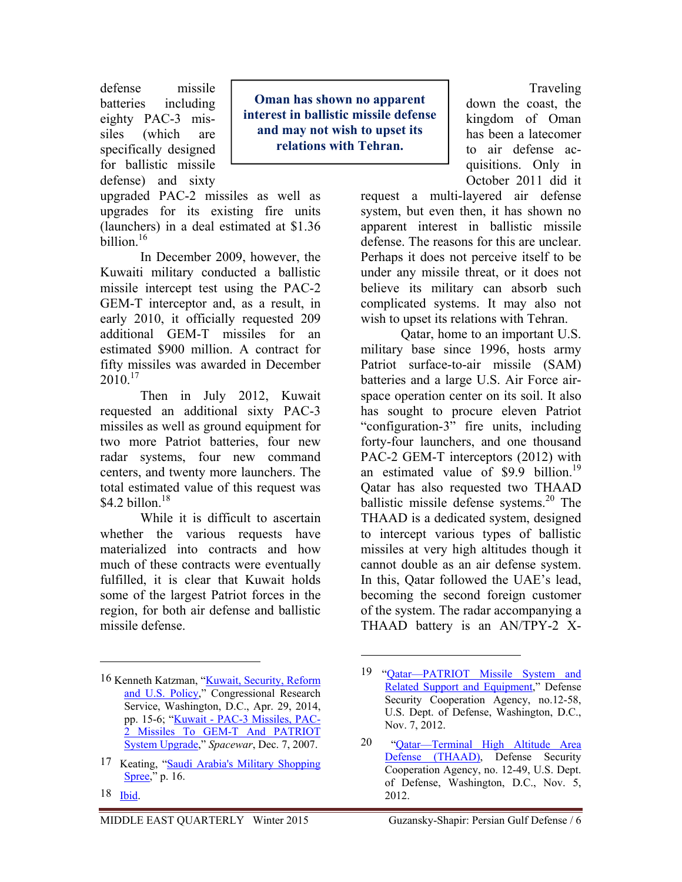defense missile batteries including eighty PAC-3 missiles (which are specifically designed for ballistic missile defense) and sixty

**Oman has shown no apparent interest in ballistic missile defense and may not wish to upset its relations with Tehran.** 

upgraded PAC-2 missiles as well as upgrades for its existing fire units (launchers) in a deal estimated at \$1.36  $\frac{1}{16}$  hillion<sup>16</sup>

In December 2009, however, the Kuwaiti military conducted a ballistic missile intercept test using the PAC-2 GEM-T interceptor and, as a result, in early 2010, it officially requested 209 additional GEM-T missiles for an estimated \$900 million. A contract for fifty missiles was awarded in December  $2010^{17}$ 

Then in July 2012, Kuwait requested an additional sixty PAC-3 missiles as well as ground equipment for two more Patriot batteries, four new radar systems, four new command centers, and twenty more launchers. The total estimated value of this request was \$4.2 billon. $18$ 

While it is difficult to ascertain whether the various requests have materialized into contracts and how much of these contracts were eventually fulfilled, it is clear that Kuwait holds some of the largest Patriot forces in the region, for both air defense and ballistic missile defense.

 $\overline{a}$ 

Traveling down the coast, the kingdom of Oman has been a latecomer to air defense acquisitions. Only in October 2011 did it

request a multi-layered air defense system, but even then, it has shown no apparent interest in ballistic missile defense. The reasons for this are unclear. Perhaps it does not perceive itself to be under any missile threat, or it does not believe its military can absorb such complicated systems. It may also not wish to upset its relations with Tehran.

Qatar, home to an important U.S. military base since 1996, hosts army Patriot surface-to-air missile (SAM) batteries and a large U.S. Air Force airspace operation center on its soil. It also has sought to procure eleven Patriot "configuration-3" fire units, including forty-four launchers, and one thousand PAC-2 GEM-T interceptors (2012) with an estimated value of  $$9.9$  billion.<sup>19</sup> Qatar has also requested two THAAD ballistic missile defense systems. $20$  The THAAD is a dedicated system, designed to intercept various types of ballistic missiles at very high altitudes though it cannot double as an air defense system. In this, Qatar followed the UAE's lead, becoming the second foreign customer of the system. The radar accompanying a THAAD battery is an AN/TPY-2 X-

1

<sup>16</sup> Kenneth Katzman, "Kuwait, Security, Reform and U.S. Policy," Congressional Research Service, Washington, D.C., Apr. 29, 2014, pp. 15-6; "Kuwait - PAC-3 Missiles, PAC-2 Missiles To GEM-T And PATRIOT System Upgrade," *Spacewar*, Dec. 7, 2007.

<sup>17</sup> Keating, "Saudi Arabia's Military Shopping Spree," p. 16.

<sup>18</sup> Ibid.

<sup>19 &</sup>quot;Qatar—PATRIOT Missile System and Related Support and Equipment," Defense Security Cooperation Agency, no.12-58, U.S. Dept. of Defense, Washington, D.C., Nov. 7, 2012.

<sup>20 &</sup>quot;Qatar—Terminal High Altitude Area Defense (THAAD), Defense Security Cooperation Agency, no. 12-49, U.S. Dept. of Defense, Washington, D.C., Nov. 5, 2012.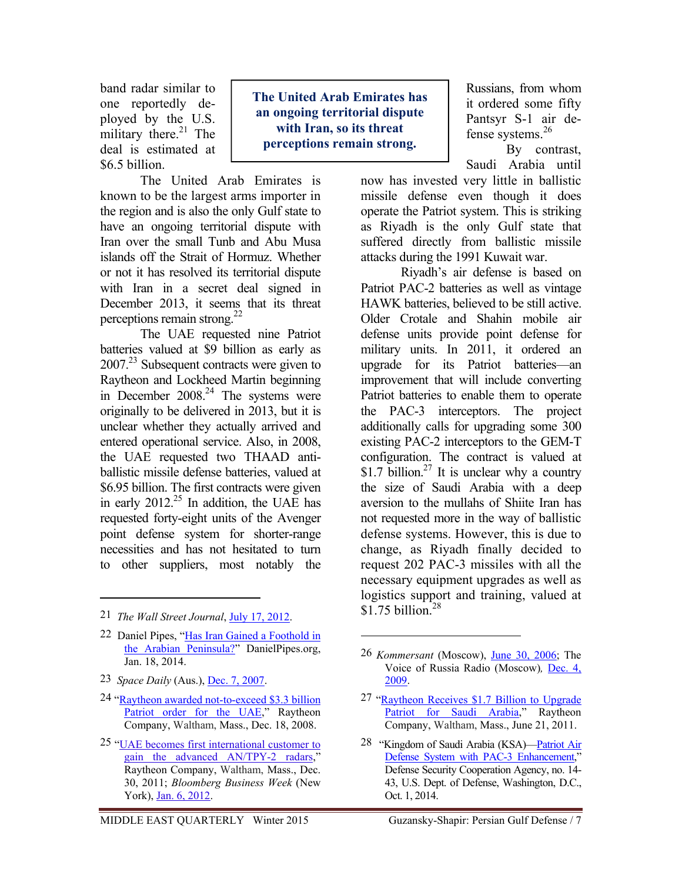band radar similar to one reportedly deployed by the U.S. military there. $^{21}$  The deal is estimated at \$6.5 billion.

**The United Arab Emirates has an ongoing territorial dispute with Iran, so its threat perceptions remain strong.** 

The United Arab Emirates is known to be the largest arms importer in the region and is also the only Gulf state to have an ongoing territorial dispute with Iran over the small Tunb and Abu Musa islands off the Strait of Hormuz. Whether or not it has resolved its territorial dispute with Iran in a secret deal signed in December 2013, it seems that its threat perceptions remain strong. $22$ 

The UAE requested nine Patriot batteries valued at \$9 billion as early as  $2007<sup>23</sup>$  Subsequent contracts were given to Raytheon and Lockheed Martin beginning in December  $2008.<sup>24</sup>$  The systems were originally to be delivered in 2013, but it is unclear whether they actually arrived and entered operational service. Also, in 2008, the UAE requested two THAAD antiballistic missile defense batteries, valued at \$6.95 billion. The first contracts were given in early 2012.<sup>25</sup> In addition, the UAE has requested forty-eight units of the Avenger point defense system for shorter-range necessities and has not hesitated to turn to other suppliers, most notably the

- 21 *The Wall Street Journal*, July 17, 2012.
- 22 Daniel Pipes, "Has Iran Gained a Foothold in the Arabian Peninsula?" DanielPipes.org, Jan. 18, 2014.
- 23 *Space Daily* (Aus.), Dec. 7, 2007.

 $\overline{a}$ 

- 24 "Raytheon awarded not-to-exceed \$3.3 billion Patriot order for the UAE," Raytheon Company, Waltham, Mass., Dec. 18, 2008.
- 25 "UAE becomes first international customer to gain the advanced AN/TPY-2 radars," Raytheon Company, Waltham, Mass., Dec. 30, 2011; *Bloomberg Business Week* (New York), Jan. 6, 2012.

Russians, from whom it ordered some fifty Pantsyr S-1 air defense systems.26

By contrast, Saudi Arabia until

now has invested very little in ballistic missile defense even though it does operate the Patriot system. This is striking as Riyadh is the only Gulf state that suffered directly from ballistic missile attacks during the 1991 Kuwait war.

Riyadh's air defense is based on Patriot PAC-2 batteries as well as vintage HAWK batteries, believed to be still active. Older Crotale and Shahin mobile air defense units provide point defense for military units. In 2011, it ordered an upgrade for its Patriot batteries—an improvement that will include converting Patriot batteries to enable them to operate the PAC-3 interceptors. The project additionally calls for upgrading some 300 existing PAC-2 interceptors to the GEM-T configuration. The contract is valued at \$1.7 billion.<sup>27</sup> It is unclear why a country the size of Saudi Arabia with a deep aversion to the mullahs of Shiite Iran has not requested more in the way of ballistic defense systems. However, this is due to change, as Riyadh finally decided to request 202 PAC-3 missiles with all the necessary equipment upgrades as well as logistics support and training, valued at \$1.75 billion. $^{28}$ 

 $\overline{a}$ 

28 "Kingdom of Saudi Arabia (KSA)—Patriot Air Defense System with PAC-3 Enhancement," Defense Security Cooperation Agency, no. 14- 43, U.S. Dept. of Defense, Washington, D.C., Oct. 1, 2014.

<sup>26</sup> *Kommersant* (Moscow), June 30, 2006; The Voice of Russia Radio (Moscow)*,* Dec. 4, 2009.

<sup>27 &</sup>quot;Raytheon Receives \$1.7 Billion to Upgrade Patriot for Saudi Arabia," Raytheon Company, Waltham, Mass., June 21, 2011.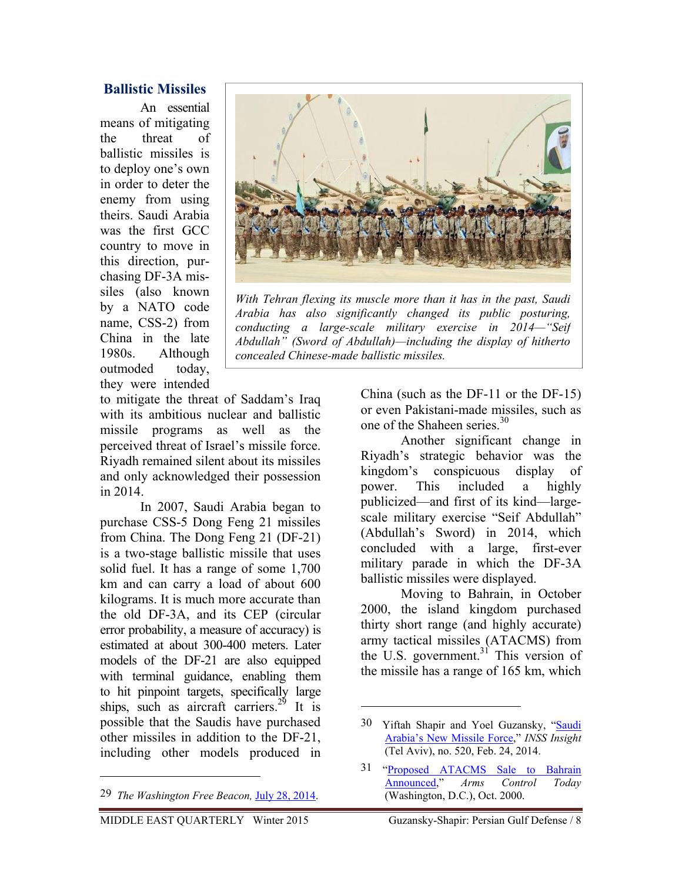## **Ballistic Missiles**

An essential means of mitigating the threat of ballistic missiles is to deploy one's own in order to deter the enemy from using theirs. Saudi Arabia was the first GCC country to move in this direction, purchasing DF-3A missiles (also known by a NATO code name, CSS-2) from China in the late 1980s. Although outmoded today, they were intended



*With Tehran flexing its muscle more than it has in the past, Saudi Arabia has also significantly changed its public posturing, conducting a large-scale military exercise in 2014—"Seif Abdullah" (Sword of Abdullah)—including the display of hitherto concealed Chinese-made ballistic missiles.* 

to mitigate the threat of Saddam's Iraq with its ambitious nuclear and ballistic missile programs as well as the perceived threat of Israel's missile force. Riyadh remained silent about its missiles and only acknowledged their possession in 2014.

In 2007, Saudi Arabia began to purchase CSS-5 Dong Feng 21 missiles from China. The Dong Feng 21 (DF-21) is a two-stage ballistic missile that uses solid fuel. It has a range of some 1,700 km and can carry a load of about 600 kilograms. It is much more accurate than the old DF-3A, and its CEP (circular error probability, a measure of accuracy) is estimated at about 300-400 meters. Later models of the DF-21 are also equipped with terminal guidance, enabling them to hit pinpoint targets, specifically large ships, such as aircraft carriers.<sup>29</sup> It is possible that the Saudis have purchased other missiles in addition to the DF-21, including other models produced in

 $\overline{a}$ 

China (such as the DF-11 or the DF-15) or even Pakistani-made missiles, such as one of the Shaheen series.<sup>30</sup>

Another significant change in Riyadh's strategic behavior was the kingdom's conspicuous display of power. This included a highly publicized—and first of its kind—largescale military exercise "Seif Abdullah" (Abdullah's Sword) in 2014, which concluded with a large, first-ever military parade in which the DF-3A ballistic missiles were displayed.

Moving to Bahrain, in October 2000, the island kingdom purchased thirty short range (and highly accurate) army tactical missiles (ATACMS) from the U.S. government.<sup>31</sup> This version of the missile has a range of 165 km, which

<sup>29</sup> *The Washington Free Beacon,* July 28, 2014.

<sup>30</sup> Yiftah Shapir and Yoel Guzansky, "Saudi Arabia's New Missile Force," *INSS Insight* (Tel Aviv), no. 520, Feb. 24, 2014.

<sup>31 &</sup>quot;Proposed ATACMS Sale to Bahrain Announced," *Arms Control Today*  (Washington, D.C.), Oct. 2000.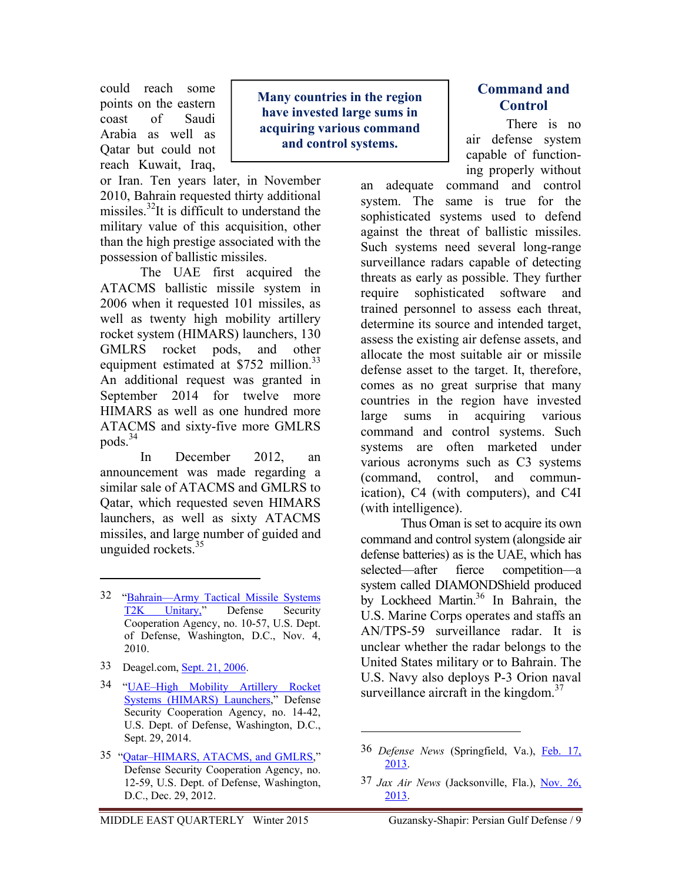could reach some points on the eastern coast of Saudi Arabia as well as Qatar but could not reach Kuwait, Iraq,

or Iran. Ten years later, in November 2010, Bahrain requested thirty additional missiles. $^{32}$ It is difficult to understand the military value of this acquisition, other than the high prestige associated with the possession of ballistic missiles.

The UAE first acquired the ATACMS ballistic missile system in 2006 when it requested 101 missiles, as well as twenty high mobility artillery rocket system (HIMARS) launchers, 130 GMLRS rocket pods, and other equipment estimated at  $$752$  million.<sup>33</sup> An additional request was granted in September 2014 for twelve more HIMARS as well as one hundred more ATACMS and sixty-five more GMLRS pods.<sup>34</sup>

In December 2012, an announcement was made regarding a similar sale of ATACMS and GMLRS to Qatar, which requested seven HIMARS launchers, as well as sixty ATACMS missiles, and large number of guided and unguided rockets. $35$ 

- 32 "Bahrain—Army Tactical Missile Systems T2K Unitary," Defense Security Cooperation Agency, no. 10-57, U.S. Dept. of Defense, Washington, D.C., Nov. 4, 2010.
- 33 Deagel.com, Sept. 21, 2006.

 $\overline{a}$ 

- 34 "UAE–High Mobility Artillery Rocket Systems (HIMARS) Launchers," Defense Security Cooperation Agency, no. 14-42, U.S. Dept. of Defense, Washington, D.C., Sept. 29, 2014.
- 35 "Qatar–HIMARS, ATACMS, and GMLRS," Defense Security Cooperation Agency, no. 12-59, U.S. Dept. of Defense, Washington, D.C., Dec. 29, 2012.

**Many countries in the region have invested large sums in acquiring various command and control systems.** 

## **Command and Control**

There is no air defense system capable of functioning properly without

an adequate command and control system. The same is true for the sophisticated systems used to defend against the threat of ballistic missiles. Such systems need several long-range surveillance radars capable of detecting threats as early as possible. They further require sophisticated software and trained personnel to assess each threat, determine its source and intended target, assess the existing air defense assets, and allocate the most suitable air or missile defense asset to the target. It, therefore, comes as no great surprise that many countries in the region have invested large sums in acquiring various command and control systems. Such systems are often marketed under various acronyms such as C3 systems (command, control, and communication), C4 (with computers), and C4I (with intelligence).

Thus Oman is set to acquire its own command and control system (alongside air defense batteries) as is the UAE, which has selected—after fierce competition—a system called DIAMONDShield produced by Lockheed Martin.<sup>36</sup> In Bahrain, the U.S. Marine Corps operates and staffs an AN/TPS-59 surveillance radar. It is unclear whether the radar belongs to the United States military or to Bahrain. The U.S. Navy also deploys P-3 Orion naval surveillance aircraft in the kingdom. $37$ 

<sup>36</sup> *Defense News* (Springfield, Va.), Feb. 17, 2013.

<sup>37</sup> *Jax Air News* (Jacksonville, Fla.), Nov. 26, 2013.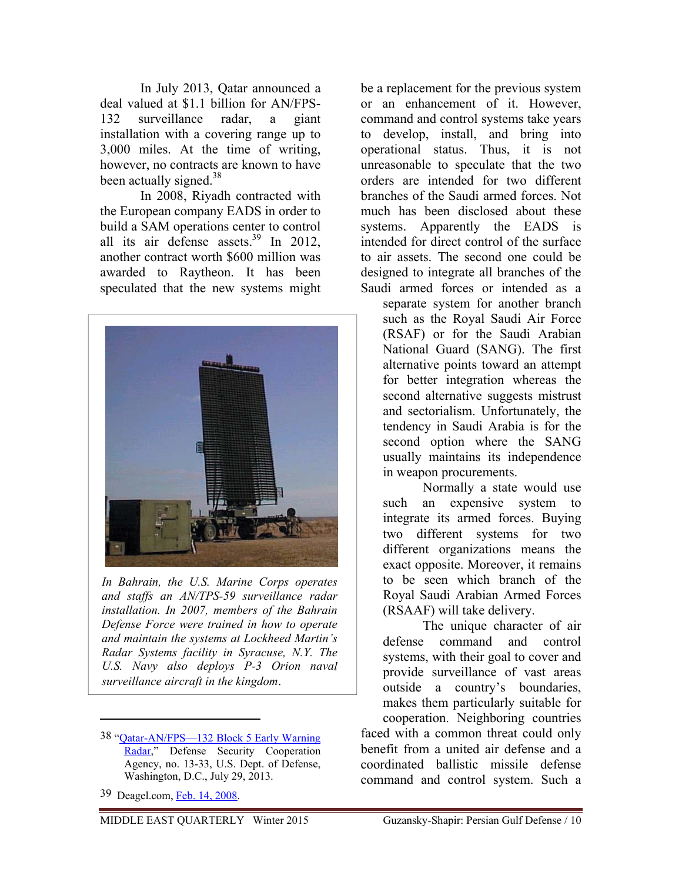In July 2013, Qatar announced a deal valued at \$1.1 billion for AN/FPS-132 surveillance radar, a giant installation with a covering range up to 3,000 miles. At the time of writing, however, no contracts are known to have been actually signed.<sup>38</sup>

In 2008, Riyadh contracted with the European company EADS in order to build a SAM operations center to control all its air defense assets.39 In 2012, another contract worth \$600 million was awarded to Raytheon. It has been speculated that the new systems might



*In Bahrain, the U.S. Marine Corps operates and staffs an AN/TPS-59 surveillance radar installation. In 2007, members of the Bahrain Defense Force were trained in how to operate and maintain the systems at Lockheed Martin's Radar Systems facility in Syracuse, N.Y. The U.S. Navy also deploys P-3 Orion naval surveillance aircraft in the kingdom*.

39 Deagel.com, Feb. 14, 2008.

 $\overline{a}$ 

be a replacement for the previous system or an enhancement of it. However, command and control systems take years to develop, install, and bring into operational status. Thus, it is not unreasonable to speculate that the two orders are intended for two different branches of the Saudi armed forces. Not much has been disclosed about these systems. Apparently the EADS is intended for direct control of the surface to air assets. The second one could be designed to integrate all branches of the Saudi armed forces or intended as a

separate system for another branch such as the Royal Saudi Air Force (RSAF) or for the Saudi Arabian National Guard (SANG). The first alternative points toward an attempt for better integration whereas the second alternative suggests mistrust and sectorialism. Unfortunately, the tendency in Saudi Arabia is for the second option where the SANG usually maintains its independence in weapon procurements.

Normally a state would use such an expensive system to integrate its armed forces. Buying two different systems for two different organizations means the exact opposite. Moreover, it remains to be seen which branch of the Royal Saudi Arabian Armed Forces (RSAAF) will take delivery.

The unique character of air defense command and control systems, with their goal to cover and provide surveillance of vast areas outside a country's boundaries, makes them particularly suitable for cooperation. Neighboring countries

faced with a common threat could only benefit from a united air defense and a coordinated ballistic missile defense command and control system. Such a

<sup>38 &</sup>quot;Qatar-AN/FPS—132 Block 5 Early Warning Radar," Defense Security Cooperation Agency, no. 13-33, U.S. Dept. of Defense, Washington, D.C., July 29, 2013.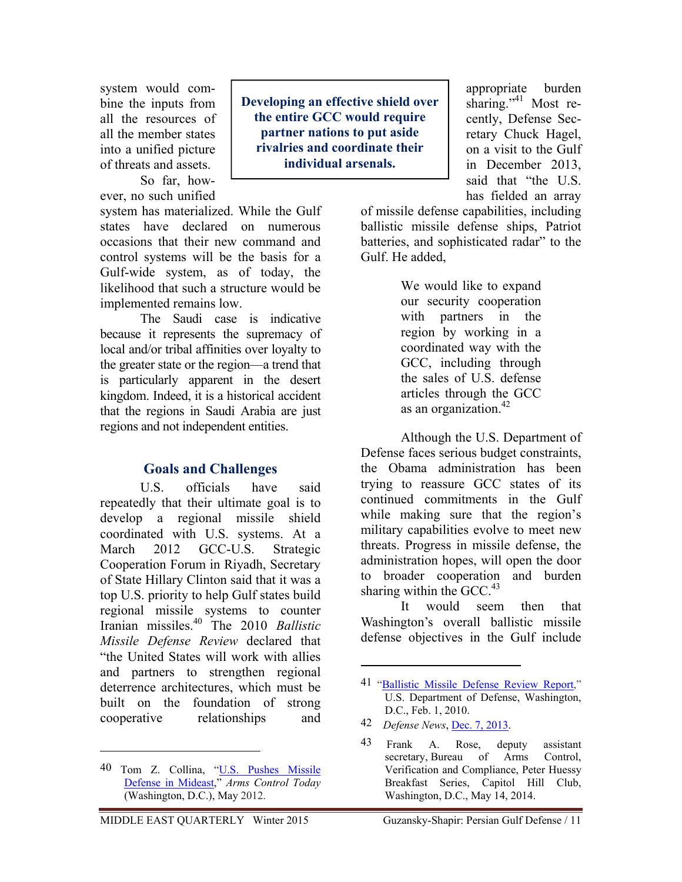system would combine the inputs from all the resources of all the member states into a unified picture of threats and assets.

So far, however, no such unified

system has materialized. While the Gulf states have declared on numerous occasions that their new command and control systems will be the basis for a Gulf-wide system, as of today, the likelihood that such a structure would be implemented remains low.

The Saudi case is indicative because it represents the supremacy of local and/or tribal affinities over loyalty to the greater state or the region—a trend that is particularly apparent in the desert kingdom. Indeed, it is a historical accident that the regions in Saudi Arabia are just regions and not independent entities.

## **Goals and Challenges**

U.S. officials have said repeatedly that their ultimate goal is to develop a regional missile shield coordinated with U.S. systems. At a March 2012 GCC-U.S. Strategic Cooperation Forum in Riyadh, Secretary of State Hillary Clinton said that it was a top U.S. priority to help Gulf states build regional missile systems to counter Iranian missiles.40 The 2010 *Ballistic Missile Defense Review* declared that "the United States will work with allies and partners to strengthen regional deterrence architectures, which must be built on the foundation of strong cooperative relationships and

 $\overline{a}$ 

**Developing an effective shield over the entire GCC would require partner nations to put aside rivalries and coordinate their individual arsenals.** 

sharing."<sup>41</sup> Most recently, Defense Secretary Chuck Hagel, on a visit to the Gulf in December 2013, said that "the U.S. has fielded an array

appropriate burden

of missile defense capabilities, including ballistic missile defense ships, Patriot batteries, and sophisticated radar" to the Gulf. He added,

> We would like to expand our security cooperation with partners in the region by working in a coordinated way with the GCC, including through the sales of U.S. defense articles through the GCC as an organization.<sup>42</sup>

Although the U.S. Department of Defense faces serious budget constraints, the Obama administration has been trying to reassure GCC states of its continued commitments in the Gulf while making sure that the region's military capabilities evolve to meet new threats. Progress in missile defense, the administration hopes, will open the door to broader cooperation and burden sharing within the GCC. $43$ 

It would seem then that Washington's overall ballistic missile defense objectives in the Gulf include

<sup>40</sup> Tom Z. Collina, "U.S. Pushes Missile Defense in Mideast," *Arms Control Today* (Washington, D.C.), May 2012.

<sup>41</sup> "Ballistic Missile Defense Review Report," U.S. Department of Defense, Washington, D.C., Feb. 1, 2010.

<sup>42</sup> *Defense News*, Dec. 7, 2013.

<sup>43</sup> Frank A. Rose, deputy assistant secretary, Bureau of Arms Control, Verification and Compliance, Peter Huessy Breakfast Series, Capitol Hill Club, Washington, D.C., May 14, 2014.